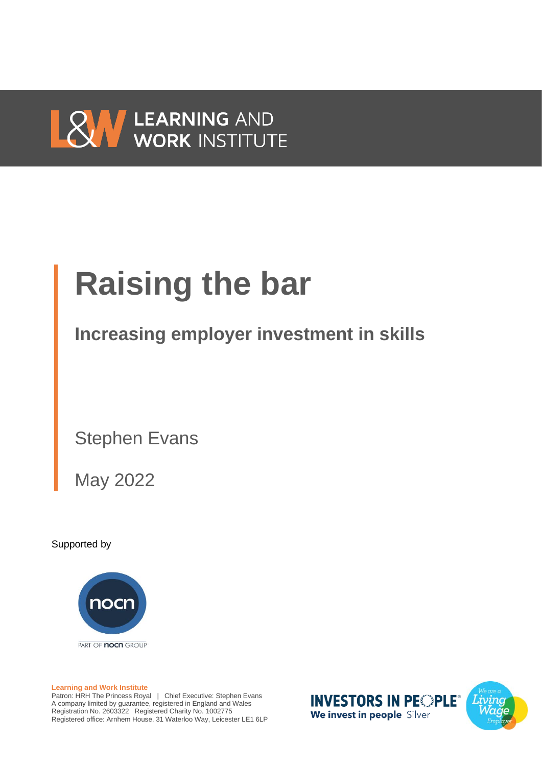

# **Raising the bar**

**Increasing employer investment in skills**

Stephen Evans

May 2022

Supported by



**Learning and Work Institute**

Patron: HRH The Princess Royal | Chief Executive: Stephen Evans A company limited by guarantee, registered in England and Wales Registration No. 2603322 Registered Charity No. 1002775 Registered office: Arnhem House, 31 Waterloo Way, Leicester LE1 6LP

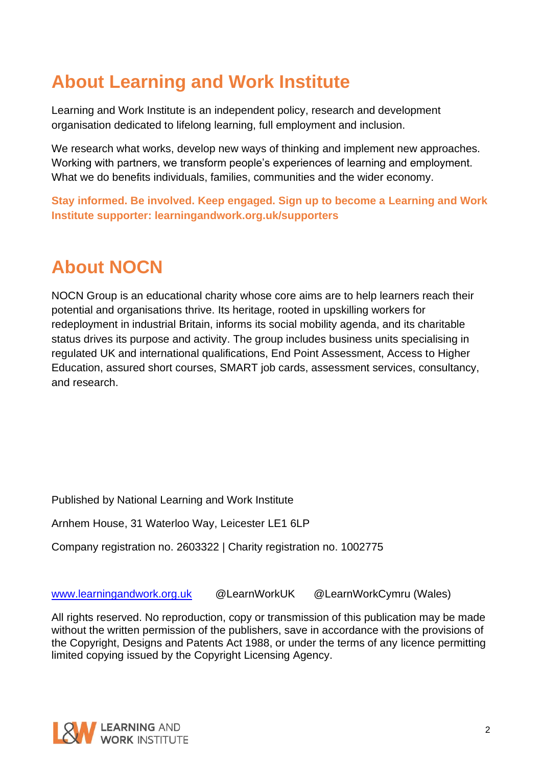# **About Learning and Work Institute**

Learning and Work Institute is an independent policy, research and development organisation dedicated to lifelong learning, full employment and inclusion.

We research what works, develop new ways of thinking and implement new approaches. Working with partners, we transform people's experiences of learning and employment. What we do benefits individuals, families, communities and the wider economy.

**Stay informed. Be involved. Keep engaged. Sign up to become a Learning and Work Institute supporter: learningandwork.org.uk/supporters**

# **About NOCN**

NOCN Group is an educational charity whose core aims are to help learners reach their potential and organisations thrive. Its heritage, rooted in upskilling workers for redeployment in industrial Britain, informs its social mobility agenda, and its charitable status drives its purpose and activity. The group includes business units specialising in regulated UK and international qualifications, End Point Assessment, Access to Higher Education, assured short courses, SMART job cards, assessment services, consultancy, and research.

Published by National Learning and Work Institute

Arnhem House, 31 Waterloo Way, Leicester LE1 6LP

Company registration no. 2603322 | Charity registration no. 1002775

[www.learningandwork.org.uk](http://www.learningandwork.org.uk/) @LearnWorkUK @LearnWorkCymru (Wales)

All rights reserved. No reproduction, copy or transmission of this publication may be made without the written permission of the publishers, save in accordance with the provisions of the Copyright, Designs and Patents Act 1988, or under the terms of any licence permitting limited copying issued by the Copyright Licensing Agency.

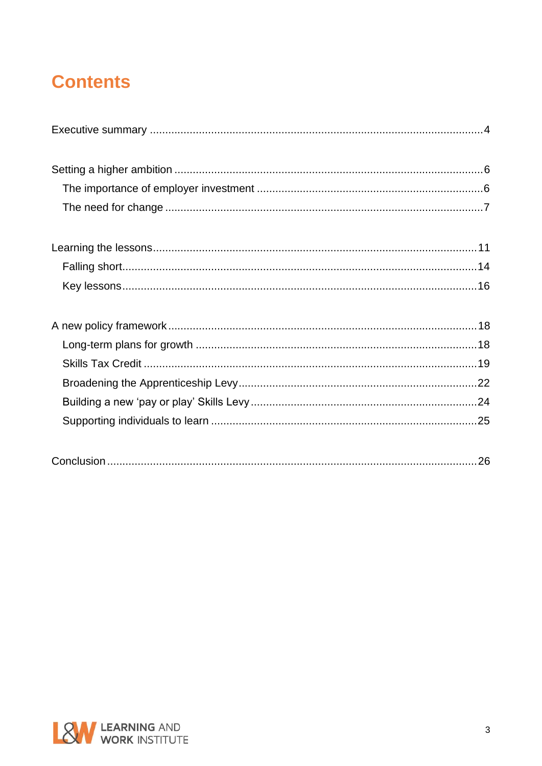# **Contents**

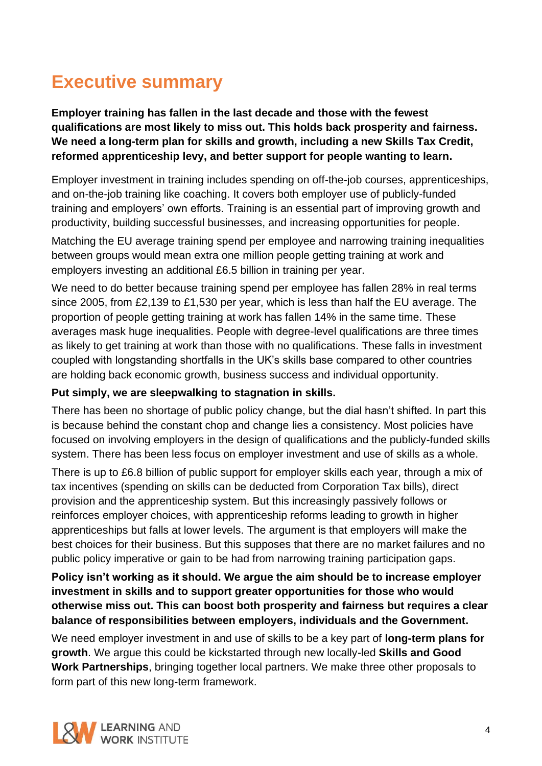# <span id="page-3-0"></span>**Executive summary**

**Employer training has fallen in the last decade and those with the fewest qualifications are most likely to miss out. This holds back prosperity and fairness. We need a long-term plan for skills and growth, including a new Skills Tax Credit, reformed apprenticeship levy, and better support for people wanting to learn.**

Employer investment in training includes spending on off-the-job courses, apprenticeships, and on-the-job training like coaching. It covers both employer use of publicly-funded training and employers' own efforts. Training is an essential part of improving growth and productivity, building successful businesses, and increasing opportunities for people.

Matching the EU average training spend per employee and narrowing training inequalities between groups would mean extra one million people getting training at work and employers investing an additional £6.5 billion in training per year.

We need to do better because training spend per employee has fallen 28% in real terms since 2005, from £2,139 to £1,530 per year, which is less than half the EU average. The proportion of people getting training at work has fallen 14% in the same time. These averages mask huge inequalities. People with degree-level qualifications are three times as likely to get training at work than those with no qualifications. These falls in investment coupled with longstanding shortfalls in the UK's skills base compared to other countries are holding back economic growth, business success and individual opportunity.

#### **Put simply, we are sleepwalking to stagnation in skills.**

There has been no shortage of public policy change, but the dial hasn't shifted. In part this is because behind the constant chop and change lies a consistency. Most policies have focused on involving employers in the design of qualifications and the publicly-funded skills system. There has been less focus on employer investment and use of skills as a whole.

There is up to £6.8 billion of public support for employer skills each year, through a mix of tax incentives (spending on skills can be deducted from Corporation Tax bills), direct provision and the apprenticeship system. But this increasingly passively follows or reinforces employer choices, with apprenticeship reforms leading to growth in higher apprenticeships but falls at lower levels. The argument is that employers will make the best choices for their business. But this supposes that there are no market failures and no public policy imperative or gain to be had from narrowing training participation gaps.

### **Policy isn't working as it should. We argue the aim should be to increase employer investment in skills and to support greater opportunities for those who would otherwise miss out. This can boost both prosperity and fairness but requires a clear balance of responsibilities between employers, individuals and the Government.**

We need employer investment in and use of skills to be a key part of **long-term plans for growth**. We argue this could be kickstarted through new locally-led **Skills and Good Work Partnerships**, bringing together local partners. We make three other proposals to form part of this new long-term framework.

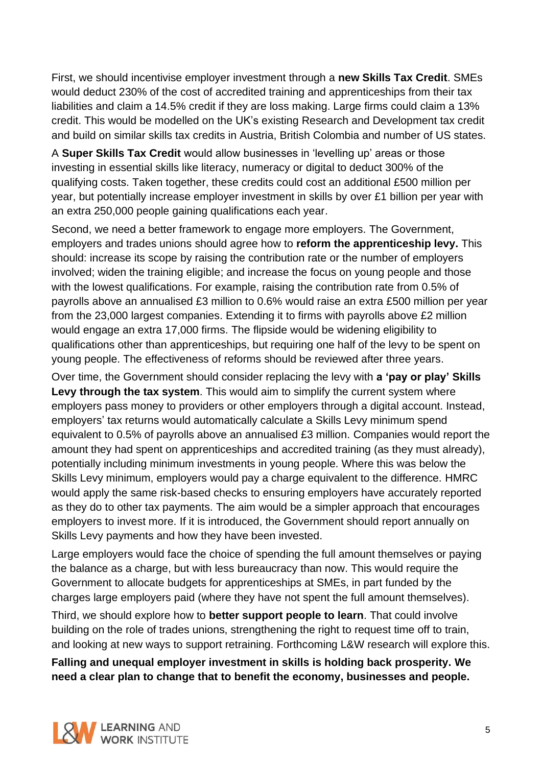First, we should incentivise employer investment through a **new Skills Tax Credit**. SMEs would deduct 230% of the cost of accredited training and apprenticeships from their tax liabilities and claim a 14.5% credit if they are loss making. Large firms could claim a 13% credit. This would be modelled on the UK's existing Research and Development tax credit and build on similar skills tax credits in Austria, British Colombia and number of US states.

A **Super Skills Tax Credit** would allow businesses in 'levelling up' areas or those investing in essential skills like literacy, numeracy or digital to deduct 300% of the qualifying costs. Taken together, these credits could cost an additional £500 million per year, but potentially increase employer investment in skills by over £1 billion per year with an extra 250,000 people gaining qualifications each year.

Second, we need a better framework to engage more employers. The Government, employers and trades unions should agree how to **reform the apprenticeship levy.** This should: increase its scope by raising the contribution rate or the number of employers involved; widen the training eligible; and increase the focus on young people and those with the lowest qualifications. For example, raising the contribution rate from 0.5% of payrolls above an annualised £3 million to 0.6% would raise an extra £500 million per year from the 23,000 largest companies. Extending it to firms with payrolls above £2 million would engage an extra 17,000 firms. The flipside would be widening eligibility to qualifications other than apprenticeships, but requiring one half of the levy to be spent on young people. The effectiveness of reforms should be reviewed after three years.

Over time, the Government should consider replacing the levy with **a 'pay or play' Skills Levy through the tax system**. This would aim to simplify the current system where employers pass money to providers or other employers through a digital account. Instead, employers' tax returns would automatically calculate a Skills Levy minimum spend equivalent to 0.5% of payrolls above an annualised £3 million. Companies would report the amount they had spent on apprenticeships and accredited training (as they must already), potentially including minimum investments in young people. Where this was below the Skills Levy minimum, employers would pay a charge equivalent to the difference. HMRC would apply the same risk-based checks to ensuring employers have accurately reported as they do to other tax payments. The aim would be a simpler approach that encourages employers to invest more. If it is introduced, the Government should report annually on Skills Levy payments and how they have been invested.

Large employers would face the choice of spending the full amount themselves or paying the balance as a charge, but with less bureaucracy than now. This would require the Government to allocate budgets for apprenticeships at SMEs, in part funded by the charges large employers paid (where they have not spent the full amount themselves).

Third, we should explore how to **better support people to learn**. That could involve building on the role of trades unions, strengthening the right to request time off to train, and looking at new ways to support retraining. Forthcoming L&W research will explore this.

**Falling and unequal employer investment in skills is holding back prosperity. We need a clear plan to change that to benefit the economy, businesses and people.**

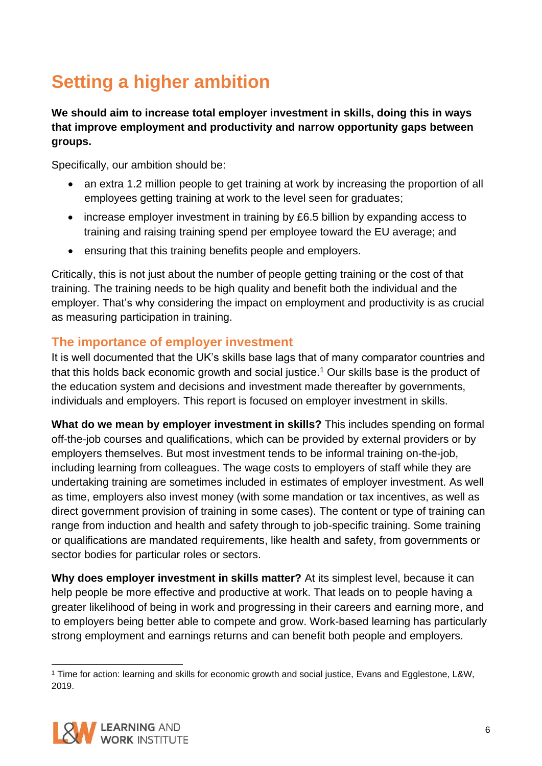# <span id="page-5-0"></span>**Setting a higher ambition**

**We should aim to increase total employer investment in skills, doing this in ways that improve employment and productivity and narrow opportunity gaps between groups.**

Specifically, our ambition should be:

- an extra 1.2 million people to get training at work by increasing the proportion of all employees getting training at work to the level seen for graduates;
- increase employer investment in training by £6.5 billion by expanding access to training and raising training spend per employee toward the EU average; and
- ensuring that this training benefits people and employers.

Critically, this is not just about the number of people getting training or the cost of that training. The training needs to be high quality and benefit both the individual and the employer. That's why considering the impact on employment and productivity is as crucial as measuring participation in training.

### <span id="page-5-1"></span>**The importance of employer investment**

It is well documented that the UK's skills base lags that of many comparator countries and that this holds back economic growth and social justice.<sup>1</sup> Our skills base is the product of the education system and decisions and investment made thereafter by governments, individuals and employers. This report is focused on employer investment in skills.

**What do we mean by employer investment in skills?** This includes spending on formal off-the-job courses and qualifications, which can be provided by external providers or by employers themselves. But most investment tends to be informal training on-the-job, including learning from colleagues. The wage costs to employers of staff while they are undertaking training are sometimes included in estimates of employer investment. As well as time, employers also invest money (with some mandation or tax incentives, as well as direct government provision of training in some cases). The content or type of training can range from induction and health and safety through to job-specific training. Some training or qualifications are mandated requirements, like health and safety, from governments or sector bodies for particular roles or sectors.

**Why does employer investment in skills matter?** At its simplest level, because it can help people be more effective and productive at work. That leads on to people having a greater likelihood of being in work and progressing in their careers and earning more, and to employers being better able to compete and grow. Work-based learning has particularly strong employment and earnings returns and can benefit both people and employers.

<sup>1</sup> Time for action: learning and skills for economic growth and social justice, Evans and Egglestone, L&W, 2019.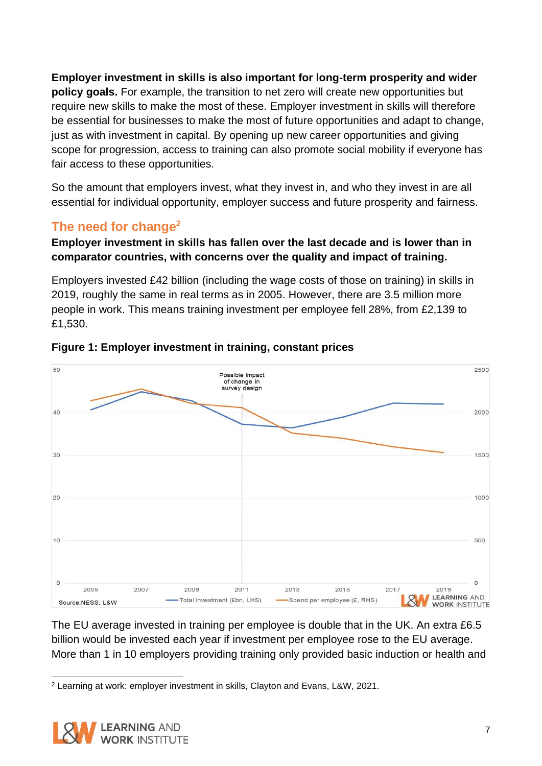**Employer investment in skills is also important for long-term prosperity and wider policy goals.** For example, the transition to net zero will create new opportunities but require new skills to make the most of these. Employer investment in skills will therefore be essential for businesses to make the most of future opportunities and adapt to change, just as with investment in capital. By opening up new career opportunities and giving scope for progression, access to training can also promote social mobility if everyone has fair access to these opportunities.

So the amount that employers invest, what they invest in, and who they invest in are all essential for individual opportunity, employer success and future prosperity and fairness.

## <span id="page-6-0"></span>**The need for change<sup>2</sup>**

### **Employer investment in skills has fallen over the last decade and is lower than in comparator countries, with concerns over the quality and impact of training.**

Employers invested £42 billion (including the wage costs of those on training) in skills in 2019, roughly the same in real terms as in 2005. However, there are 3.5 million more people in work. This means training investment per employee fell 28%, from £2,139 to £1,530.



#### **Figure 1: Employer investment in training, constant prices**

The EU average invested in training per employee is double that in the UK. An extra £6.5 billion would be invested each year if investment per employee rose to the EU average. More than 1 in 10 employers providing training only provided basic induction or health and

<sup>2</sup> Learning at work: employer investment in skills, Clayton and Evans, L&W, 2021.

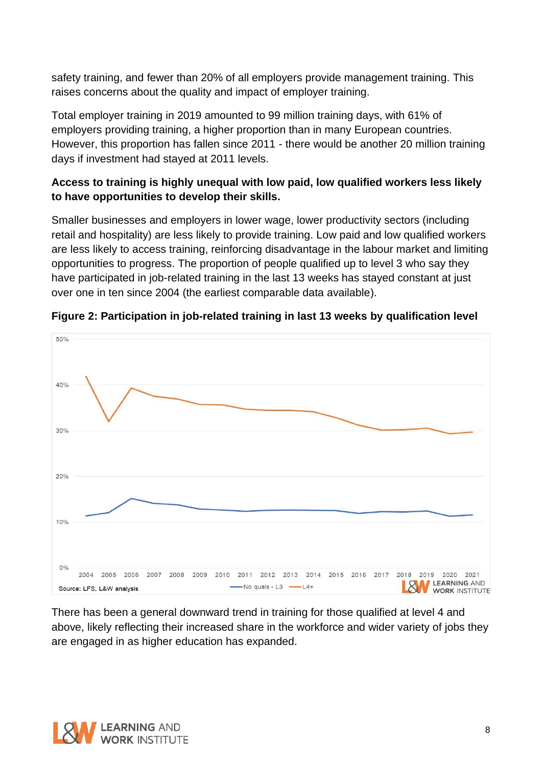safety training, and fewer than 20% of all employers provide management training. This raises concerns about the quality and impact of employer training.

Total employer training in 2019 amounted to 99 million training days, with 61% of employers providing training, a higher proportion than in many European countries. However, this proportion has fallen since 2011 - there would be another 20 million training days if investment had stayed at 2011 levels.

### **Access to training is highly unequal with low paid, low qualified workers less likely to have opportunities to develop their skills.**

Smaller businesses and employers in lower wage, lower productivity sectors (including retail and hospitality) are less likely to provide training. Low paid and low qualified workers are less likely to access training, reinforcing disadvantage in the labour market and limiting opportunities to progress. The proportion of people qualified up to level 3 who say they have participated in job-related training in the last 13 weeks has stayed constant at just over one in ten since 2004 (the earliest comparable data available).



**Figure 2: Participation in job-related training in last 13 weeks by qualification level**

There has been a general downward trend in training for those qualified at level 4 and above, likely reflecting their increased share in the workforce and wider variety of jobs they are engaged in as higher education has expanded.

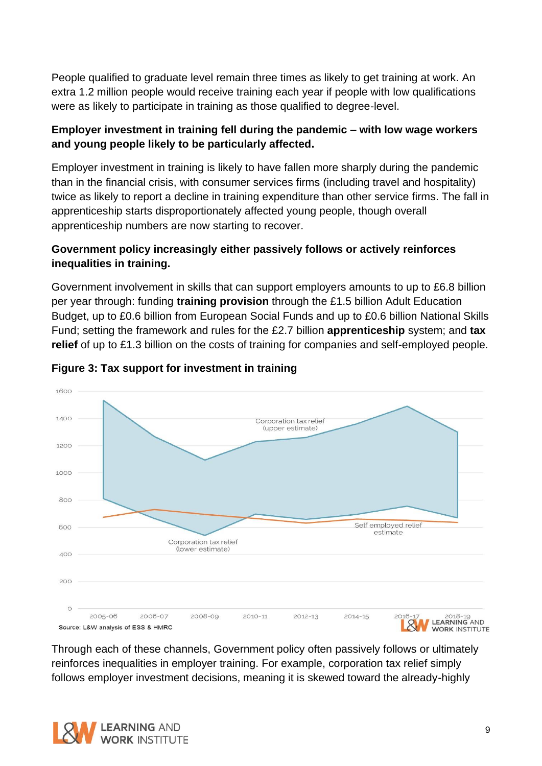People qualified to graduate level remain three times as likely to get training at work. An extra 1.2 million people would receive training each year if people with low qualifications were as likely to participate in training as those qualified to degree-level.

### **Employer investment in training fell during the pandemic – with low wage workers and young people likely to be particularly affected.**

Employer investment in training is likely to have fallen more sharply during the pandemic than in the financial crisis, with consumer services firms (including travel and hospitality) twice as likely to report a decline in training expenditure than other service firms. The fall in apprenticeship starts disproportionately affected young people, though overall apprenticeship numbers are now starting to recover.

### **Government policy increasingly either passively follows or actively reinforces inequalities in training.**

Government involvement in skills that can support employers amounts to up to £6.8 billion per year through: funding **training provision** through the £1.5 billion Adult Education Budget, up to £0.6 billion from European Social Funds and up to £0.6 billion National Skills Fund; setting the framework and rules for the £2.7 billion **apprenticeship** system; and **tax relief** of up to £1.3 billion on the costs of training for companies and self-employed people.



#### **Figure 3: Tax support for investment in training**

Through each of these channels, Government policy often passively follows or ultimately reinforces inequalities in employer training. For example, corporation tax relief simply follows employer investment decisions, meaning it is skewed toward the already-highly

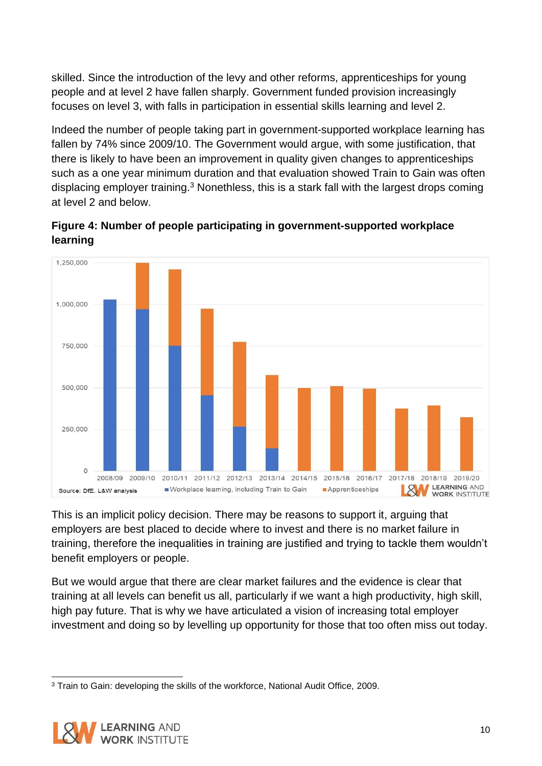skilled. Since the introduction of the levy and other reforms, apprenticeships for young people and at level 2 have fallen sharply. Government funded provision increasingly focuses on level 3, with falls in participation in essential skills learning and level 2.

Indeed the number of people taking part in government-supported workplace learning has fallen by 74% since 2009/10. The Government would argue, with some justification, that there is likely to have been an improvement in quality given changes to apprenticeships such as a one year minimum duration and that evaluation showed Train to Gain was often displacing employer training.<sup>3</sup> Nonethless, this is a stark fall with the largest drops coming at level 2 and below.

**Figure 4: Number of people participating in government-supported workplace learning**



This is an implicit policy decision. There may be reasons to support it, arguing that employers are best placed to decide where to invest and there is no market failure in training, therefore the inequalities in training are justified and trying to tackle them wouldn't benefit employers or people.

But we would argue that there are clear market failures and the evidence is clear that training at all levels can benefit us all, particularly if we want a high productivity, high skill, high pay future. That is why we have articulated a vision of increasing total employer investment and doing so by levelling up opportunity for those that too often miss out today.

<sup>3</sup> Train to Gain: developing the skills of the workforce, National Audit Office, 2009.

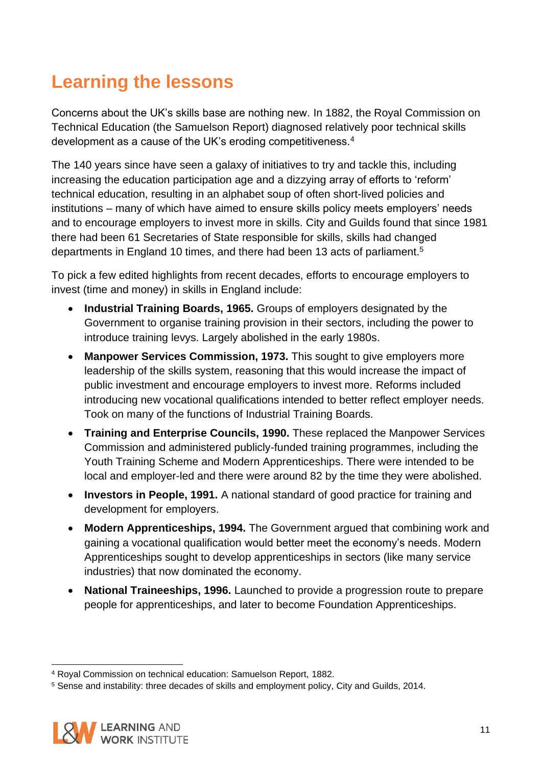# <span id="page-10-0"></span>**Learning the lessons**

Concerns about the UK's skills base are nothing new. In 1882, the Royal Commission on Technical Education (the Samuelson Report) diagnosed relatively poor technical skills development as a cause of the UK's eroding competitiveness.<sup>4</sup>

The 140 years since have seen a galaxy of initiatives to try and tackle this, including increasing the education participation age and a dizzying array of efforts to 'reform' technical education, resulting in an alphabet soup of often short-lived policies and institutions – many of which have aimed to ensure skills policy meets employers' needs and to encourage employers to invest more in skills. City and Guilds found that since 1981 there had been 61 Secretaries of State responsible for skills, skills had changed departments in England 10 times, and there had been 13 acts of parliament.<sup>5</sup>

To pick a few edited highlights from recent decades, efforts to encourage employers to invest (time and money) in skills in England include:

- **Industrial Training Boards, 1965.** Groups of employers designated by the Government to organise training provision in their sectors, including the power to introduce training levys. Largely abolished in the early 1980s.
- **Manpower Services Commission, 1973.** This sought to give employers more leadership of the skills system, reasoning that this would increase the impact of public investment and encourage employers to invest more. Reforms included introducing new vocational qualifications intended to better reflect employer needs. Took on many of the functions of Industrial Training Boards.
- **Training and Enterprise Councils, 1990.** These replaced the Manpower Services Commission and administered publicly-funded training programmes, including the Youth Training Scheme and Modern Apprenticeships. There were intended to be local and employer-led and there were around 82 by the time they were abolished.
- **Investors in People, 1991.** A national standard of good practice for training and development for employers.
- **Modern Apprenticeships, 1994.** The Government argued that combining work and gaining a vocational qualification would better meet the economy's needs. Modern Apprenticeships sought to develop apprenticeships in sectors (like many service industries) that now dominated the economy.
- **National Traineeships, 1996.** Launched to provide a progression route to prepare people for apprenticeships, and later to become Foundation Apprenticeships.

<sup>5</sup> Sense and instability: three decades of skills and employment policy, City and Guilds, 2014.



<sup>4</sup> Royal Commission on technical education: Samuelson Report, 1882.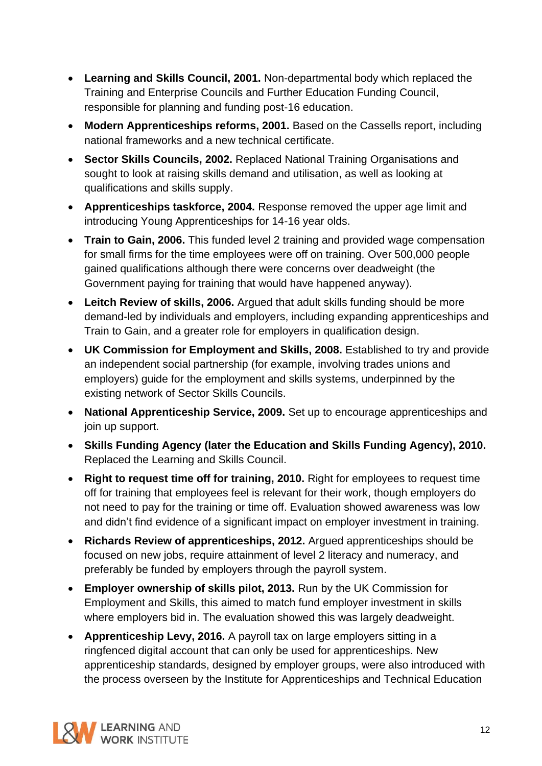- **Learning and Skills Council, 2001.** Non-departmental body which replaced the Training and Enterprise Councils and Further Education Funding Council, responsible for planning and funding post-16 education.
- **Modern Apprenticeships reforms, 2001.** Based on the Cassells report, including national frameworks and a new technical certificate.
- **Sector Skills Councils, 2002.** Replaced National Training Organisations and sought to look at raising skills demand and utilisation, as well as looking at qualifications and skills supply.
- **Apprenticeships taskforce, 2004.** Response removed the upper age limit and introducing Young Apprenticeships for 14-16 year olds.
- **Train to Gain, 2006.** This funded level 2 training and provided wage compensation for small firms for the time employees were off on training. Over 500,000 people gained qualifications although there were concerns over deadweight (the Government paying for training that would have happened anyway).
- **Leitch Review of skills, 2006.** Argued that adult skills funding should be more demand-led by individuals and employers, including expanding apprenticeships and Train to Gain, and a greater role for employers in qualification design.
- **UK Commission for Employment and Skills, 2008.** Established to try and provide an independent social partnership (for example, involving trades unions and employers) guide for the employment and skills systems, underpinned by the existing network of Sector Skills Councils.
- **National Apprenticeship Service, 2009.** Set up to encourage apprenticeships and join up support.
- **Skills Funding Agency (later the Education and Skills Funding Agency), 2010.** Replaced the Learning and Skills Council.
- **Right to request time off for training, 2010.** Right for employees to request time off for training that employees feel is relevant for their work, though employers do not need to pay for the training or time off. Evaluation showed awareness was low and didn't find evidence of a significant impact on employer investment in training.
- **Richards Review of apprenticeships, 2012.** Argued apprenticeships should be focused on new jobs, require attainment of level 2 literacy and numeracy, and preferably be funded by employers through the payroll system.
- **Employer ownership of skills pilot, 2013.** Run by the UK Commission for Employment and Skills, this aimed to match fund employer investment in skills where employers bid in. The evaluation showed this was largely deadweight.
- **Apprenticeship Levy, 2016.** A payroll tax on large employers sitting in a ringfenced digital account that can only be used for apprenticeships. New apprenticeship standards, designed by employer groups, were also introduced with the process overseen by the Institute for Apprenticeships and Technical Education

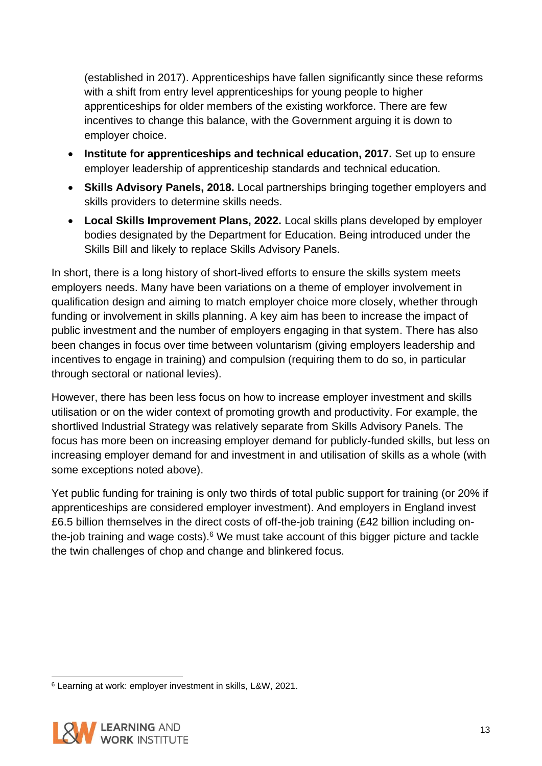(established in 2017). Apprenticeships have fallen significantly since these reforms with a shift from entry level apprenticeships for young people to higher apprenticeships for older members of the existing workforce. There are few incentives to change this balance, with the Government arguing it is down to employer choice.

- **Institute for apprenticeships and technical education, 2017.** Set up to ensure employer leadership of apprenticeship standards and technical education.
- **Skills Advisory Panels, 2018.** Local partnerships bringing together employers and skills providers to determine skills needs.
- **Local Skills Improvement Plans, 2022.** Local skills plans developed by employer bodies designated by the Department for Education. Being introduced under the Skills Bill and likely to replace Skills Advisory Panels.

In short, there is a long history of short-lived efforts to ensure the skills system meets employers needs. Many have been variations on a theme of employer involvement in qualification design and aiming to match employer choice more closely, whether through funding or involvement in skills planning. A key aim has been to increase the impact of public investment and the number of employers engaging in that system. There has also been changes in focus over time between voluntarism (giving employers leadership and incentives to engage in training) and compulsion (requiring them to do so, in particular through sectoral or national levies).

However, there has been less focus on how to increase employer investment and skills utilisation or on the wider context of promoting growth and productivity. For example, the shortlived Industrial Strategy was relatively separate from Skills Advisory Panels. The focus has more been on increasing employer demand for publicly-funded skills, but less on increasing employer demand for and investment in and utilisation of skills as a whole (with some exceptions noted above).

Yet public funding for training is only two thirds of total public support for training (or 20% if apprenticeships are considered employer investment). And employers in England invest £6.5 billion themselves in the direct costs of off-the-job training (£42 billion including onthe-job training and wage costs). $6$  We must take account of this bigger picture and tackle the twin challenges of chop and change and blinkered focus.

<sup>6</sup> Learning at work: employer investment in skills, L&W, 2021.

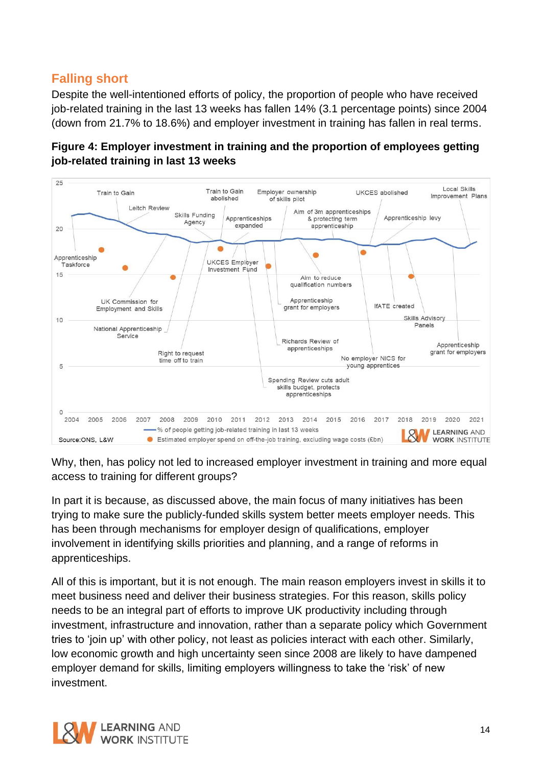### <span id="page-13-0"></span>**Falling short**

Despite the well-intentioned efforts of policy, the proportion of people who have received job-related training in the last 13 weeks has fallen 14% (3.1 percentage points) since 2004 (down from 21.7% to 18.6%) and employer investment in training has fallen in real terms.





Why, then, has policy not led to increased employer investment in training and more equal access to training for different groups?

In part it is because, as discussed above, the main focus of many initiatives has been trying to make sure the publicly-funded skills system better meets employer needs. This has been through mechanisms for employer design of qualifications, employer involvement in identifying skills priorities and planning, and a range of reforms in apprenticeships.

All of this is important, but it is not enough. The main reason employers invest in skills it to meet business need and deliver their business strategies. For this reason, skills policy needs to be an integral part of efforts to improve UK productivity including through investment, infrastructure and innovation, rather than a separate policy which Government tries to 'join up' with other policy, not least as policies interact with each other. Similarly, low economic growth and high uncertainty seen since 2008 are likely to have dampened employer demand for skills, limiting employers willingness to take the 'risk' of new investment.

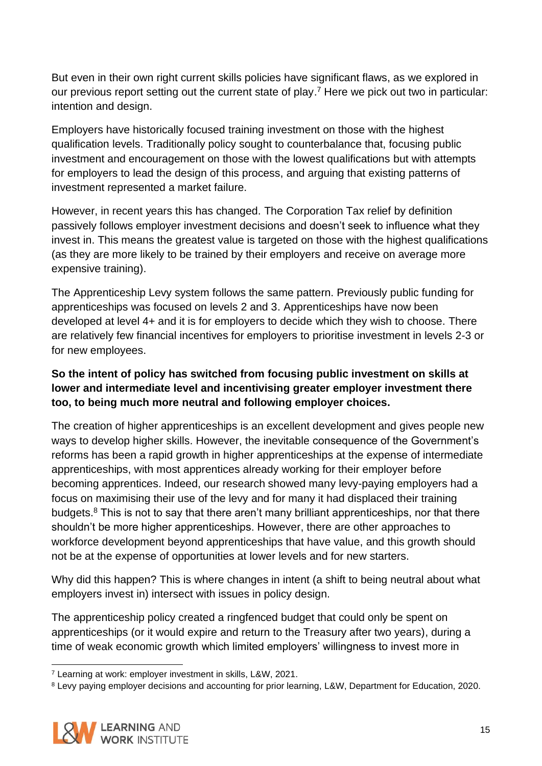But even in their own right current skills policies have significant flaws, as we explored in our previous report setting out the current state of play. <sup>7</sup> Here we pick out two in particular: intention and design.

Employers have historically focused training investment on those with the highest qualification levels. Traditionally policy sought to counterbalance that, focusing public investment and encouragement on those with the lowest qualifications but with attempts for employers to lead the design of this process, and arguing that existing patterns of investment represented a market failure.

However, in recent years this has changed. The Corporation Tax relief by definition passively follows employer investment decisions and doesn't seek to influence what they invest in. This means the greatest value is targeted on those with the highest qualifications (as they are more likely to be trained by their employers and receive on average more expensive training).

The Apprenticeship Levy system follows the same pattern. Previously public funding for apprenticeships was focused on levels 2 and 3. Apprenticeships have now been developed at level 4+ and it is for employers to decide which they wish to choose. There are relatively few financial incentives for employers to prioritise investment in levels 2-3 or for new employees.

### **So the intent of policy has switched from focusing public investment on skills at lower and intermediate level and incentivising greater employer investment there too, to being much more neutral and following employer choices.**

The creation of higher apprenticeships is an excellent development and gives people new ways to develop higher skills. However, the inevitable consequence of the Government's reforms has been a rapid growth in higher apprenticeships at the expense of intermediate apprenticeships, with most apprentices already working for their employer before becoming apprentices. Indeed, our research showed many levy-paying employers had a focus on maximising their use of the levy and for many it had displaced their training budgets. $8$  This is not to say that there aren't many brilliant apprenticeships, nor that there shouldn't be more higher apprenticeships. However, there are other approaches to workforce development beyond apprenticeships that have value, and this growth should not be at the expense of opportunities at lower levels and for new starters.

Why did this happen? This is where changes in intent (a shift to being neutral about what employers invest in) intersect with issues in policy design.

The apprenticeship policy created a ringfenced budget that could only be spent on apprenticeships (or it would expire and return to the Treasury after two years), during a time of weak economic growth which limited employers' willingness to invest more in

<sup>8</sup> Levy paying employer decisions and accounting for prior learning, L&W, Department for Education, 2020.



<sup>7</sup> Learning at work: employer investment in skills, L&W, 2021.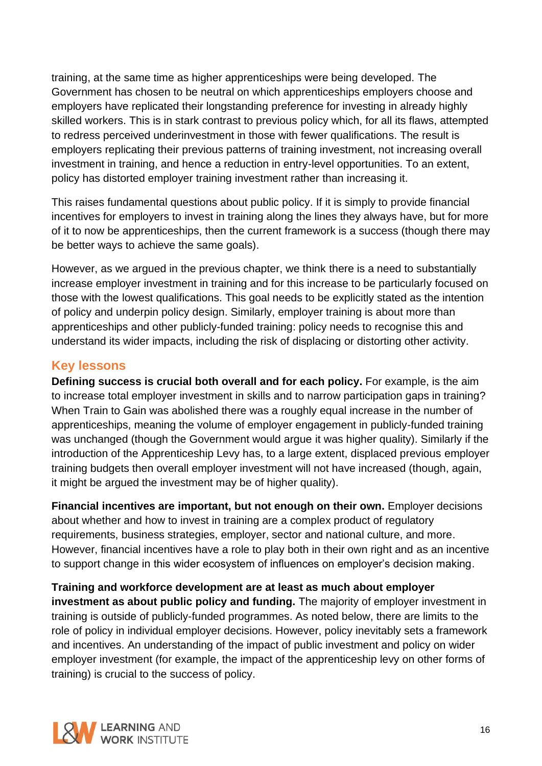training, at the same time as higher apprenticeships were being developed. The Government has chosen to be neutral on which apprenticeships employers choose and employers have replicated their longstanding preference for investing in already highly skilled workers. This is in stark contrast to previous policy which, for all its flaws, attempted to redress perceived underinvestment in those with fewer qualifications. The result is employers replicating their previous patterns of training investment, not increasing overall investment in training, and hence a reduction in entry-level opportunities. To an extent, policy has distorted employer training investment rather than increasing it.

This raises fundamental questions about public policy. If it is simply to provide financial incentives for employers to invest in training along the lines they always have, but for more of it to now be apprenticeships, then the current framework is a success (though there may be better ways to achieve the same goals).

However, as we argued in the previous chapter, we think there is a need to substantially increase employer investment in training and for this increase to be particularly focused on those with the lowest qualifications. This goal needs to be explicitly stated as the intention of policy and underpin policy design. Similarly, employer training is about more than apprenticeships and other publicly-funded training: policy needs to recognise this and understand its wider impacts, including the risk of displacing or distorting other activity.

### <span id="page-15-0"></span>**Key lessons**

**Defining success is crucial both overall and for each policy.** For example, is the aim to increase total employer investment in skills and to narrow participation gaps in training? When Train to Gain was abolished there was a roughly equal increase in the number of apprenticeships, meaning the volume of employer engagement in publicly-funded training was unchanged (though the Government would argue it was higher quality). Similarly if the introduction of the Apprenticeship Levy has, to a large extent, displaced previous employer training budgets then overall employer investment will not have increased (though, again, it might be argued the investment may be of higher quality).

**Financial incentives are important, but not enough on their own.** Employer decisions about whether and how to invest in training are a complex product of regulatory requirements, business strategies, employer, sector and national culture, and more. However, financial incentives have a role to play both in their own right and as an incentive to support change in this wider ecosystem of influences on employer's decision making.

#### **Training and workforce development are at least as much about employer**

**investment as about public policy and funding.** The majority of employer investment in training is outside of publicly-funded programmes. As noted below, there are limits to the role of policy in individual employer decisions. However, policy inevitably sets a framework and incentives. An understanding of the impact of public investment and policy on wider employer investment (for example, the impact of the apprenticeship levy on other forms of training) is crucial to the success of policy.

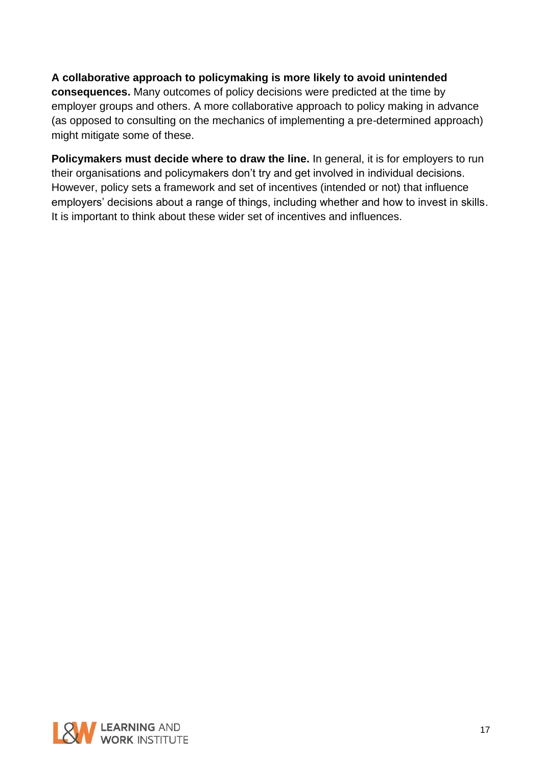#### **A collaborative approach to policymaking is more likely to avoid unintended**

**consequences.** Many outcomes of policy decisions were predicted at the time by employer groups and others. A more collaborative approach to policy making in advance (as opposed to consulting on the mechanics of implementing a pre-determined approach) might mitigate some of these.

**Policymakers must decide where to draw the line.** In general, it is for employers to run their organisations and policymakers don't try and get involved in individual decisions. However, policy sets a framework and set of incentives (intended or not) that influence employers' decisions about a range of things, including whether and how to invest in skills. It is important to think about these wider set of incentives and influences.

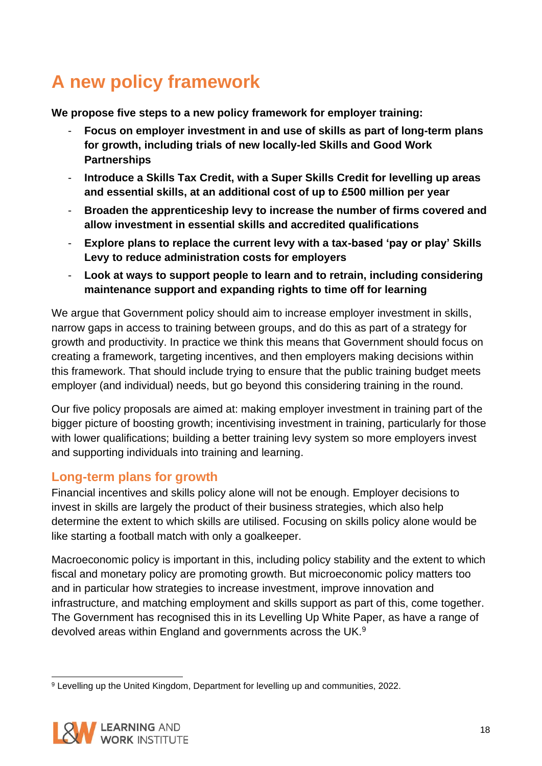# <span id="page-17-0"></span>**A new policy framework**

**We propose five steps to a new policy framework for employer training:**

- **Focus on employer investment in and use of skills as part of long-term plans for growth, including trials of new locally-led Skills and Good Work Partnerships**
- **Introduce a Skills Tax Credit, with a Super Skills Credit for levelling up areas and essential skills, at an additional cost of up to £500 million per year**
- **Broaden the apprenticeship levy to increase the number of firms covered and allow investment in essential skills and accredited qualifications**
- **Explore plans to replace the current levy with a tax-based 'pay or play' Skills Levy to reduce administration costs for employers**
- **Look at ways to support people to learn and to retrain, including considering maintenance support and expanding rights to time off for learning**

We argue that Government policy should aim to increase employer investment in skills, narrow gaps in access to training between groups, and do this as part of a strategy for growth and productivity. In practice we think this means that Government should focus on creating a framework, targeting incentives, and then employers making decisions within this framework. That should include trying to ensure that the public training budget meets employer (and individual) needs, but go beyond this considering training in the round.

Our five policy proposals are aimed at: making employer investment in training part of the bigger picture of boosting growth; incentivising investment in training, particularly for those with lower qualifications; building a better training levy system so more employers invest and supporting individuals into training and learning.

### <span id="page-17-1"></span>**Long-term plans for growth**

Financial incentives and skills policy alone will not be enough. Employer decisions to invest in skills are largely the product of their business strategies, which also help determine the extent to which skills are utilised. Focusing on skills policy alone would be like starting a football match with only a goalkeeper.

Macroeconomic policy is important in this, including policy stability and the extent to which fiscal and monetary policy are promoting growth. But microeconomic policy matters too and in particular how strategies to increase investment, improve innovation and infrastructure, and matching employment and skills support as part of this, come together. The Government has recognised this in its Levelling Up White Paper, as have a range of devolved areas within England and governments across the UK.<sup>9</sup>

<sup>9</sup> Levelling up the United Kingdom, Department for levelling up and communities, 2022.

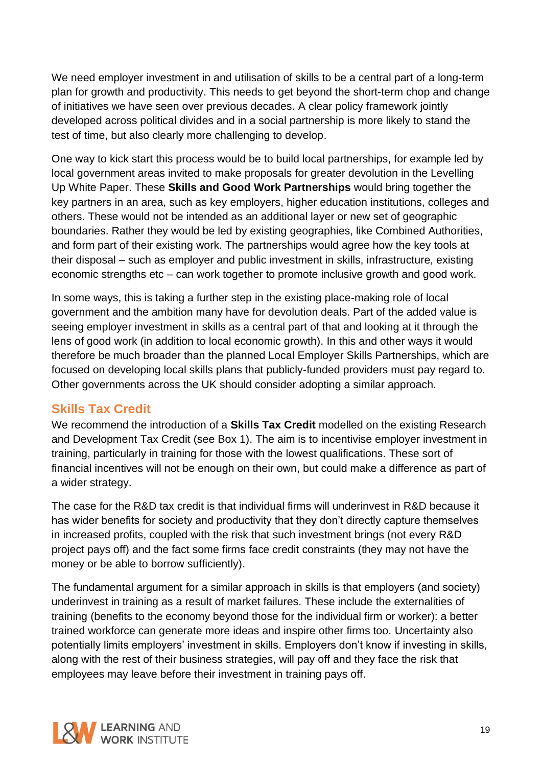We need employer investment in and utilisation of skills to be a central part of a long-term plan for growth and productivity. This needs to get beyond the short-term chop and change of initiatives we have seen over previous decades. A clear policy framework jointly developed across political divides and in a social partnership is more likely to stand the test of time, but also clearly more challenging to develop.

One way to kick start this process would be to build local partnerships, for example led by local government areas invited to make proposals for greater devolution in the Levelling Up White Paper. These **Skills and Good Work Partnerships** would bring together the key partners in an area, such as key employers, higher education institutions, colleges and others. These would not be intended as an additional layer or new set of geographic boundaries. Rather they would be led by existing geographies, like Combined Authorities, and form part of their existing work. The partnerships would agree how the key tools at their disposal – such as employer and public investment in skills, infrastructure, existing economic strengths etc – can work together to promote inclusive growth and good work.

In some ways, this is taking a further step in the existing place-making role of local government and the ambition many have for devolution deals. Part of the added value is seeing employer investment in skills as a central part of that and looking at it through the lens of good work (in addition to local economic growth). In this and other ways it would therefore be much broader than the planned Local Employer Skills Partnerships, which are focused on developing local skills plans that publicly-funded providers must pay regard to. Other governments across the UK should consider adopting a similar approach.

### <span id="page-18-0"></span>**Skills Tax Credit**

We recommend the introduction of a **Skills Tax Credit** modelled on the existing Research and Development Tax Credit (see Box 1). The aim is to incentivise employer investment in training, particularly in training for those with the lowest qualifications. These sort of financial incentives will not be enough on their own, but could make a difference as part of a wider strategy.

The case for the R&D tax credit is that individual firms will underinvest in R&D because it has wider benefits for society and productivity that they don't directly capture themselves in increased profits, coupled with the risk that such investment brings (not every R&D project pays off) and the fact some firms face credit constraints (they may not have the money or be able to borrow sufficiently).

The fundamental argument for a similar approach in skills is that employers (and society) underinvest in training as a result of market failures. These include the externalities of training (benefits to the economy beyond those for the individual firm or worker): a better trained workforce can generate more ideas and inspire other firms too. Uncertainty also potentially limits employers' investment in skills. Employers don't know if investing in skills, along with the rest of their business strategies, will pay off and they face the risk that employees may leave before their investment in training pays off.

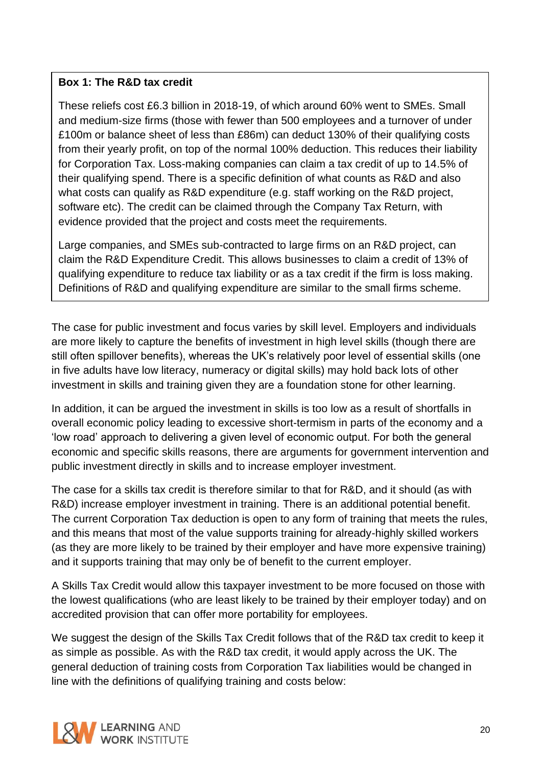#### **Box 1: The R&D tax credit**

These reliefs cost £6.3 billion in 2018-19, of which around 60% went to SMEs. Small and medium-size firms (those with fewer than 500 employees and a turnover of under £100m or balance sheet of less than £86m) can deduct 130% of their qualifying costs from their yearly profit, on top of the normal 100% deduction. This reduces their liability for Corporation Tax. Loss-making companies can claim a tax credit of up to 14.5% of their qualifying spend. There is a specific definition of what counts as R&D and also what costs can qualify as R&D expenditure (e.g. staff working on the R&D project, software etc). The credit can be claimed through the Company Tax Return, with evidence provided that the project and costs meet the requirements.

Large companies, and SMEs sub-contracted to large firms on an R&D project, can claim the R&D Expenditure Credit. This allows businesses to claim a credit of 13% of qualifying expenditure to reduce tax liability or as a tax credit if the firm is loss making. Definitions of R&D and qualifying expenditure are similar to the small firms scheme.

The case for public investment and focus varies by skill level. Employers and individuals are more likely to capture the benefits of investment in high level skills (though there are still often spillover benefits), whereas the UK's relatively poor level of essential skills (one in five adults have low literacy, numeracy or digital skills) may hold back lots of other investment in skills and training given they are a foundation stone for other learning.

In addition, it can be argued the investment in skills is too low as a result of shortfalls in overall economic policy leading to excessive short-termism in parts of the economy and a 'low road' approach to delivering a given level of economic output. For both the general economic and specific skills reasons, there are arguments for government intervention and public investment directly in skills and to increase employer investment.

The case for a skills tax credit is therefore similar to that for R&D, and it should (as with R&D) increase employer investment in training. There is an additional potential benefit. The current Corporation Tax deduction is open to any form of training that meets the rules, and this means that most of the value supports training for already-highly skilled workers (as they are more likely to be trained by their employer and have more expensive training) and it supports training that may only be of benefit to the current employer.

A Skills Tax Credit would allow this taxpayer investment to be more focused on those with the lowest qualifications (who are least likely to be trained by their employer today) and on accredited provision that can offer more portability for employees.

We suggest the design of the Skills Tax Credit follows that of the R&D tax credit to keep it as simple as possible. As with the R&D tax credit, it would apply across the UK. The general deduction of training costs from Corporation Tax liabilities would be changed in line with the definitions of qualifying training and costs below:

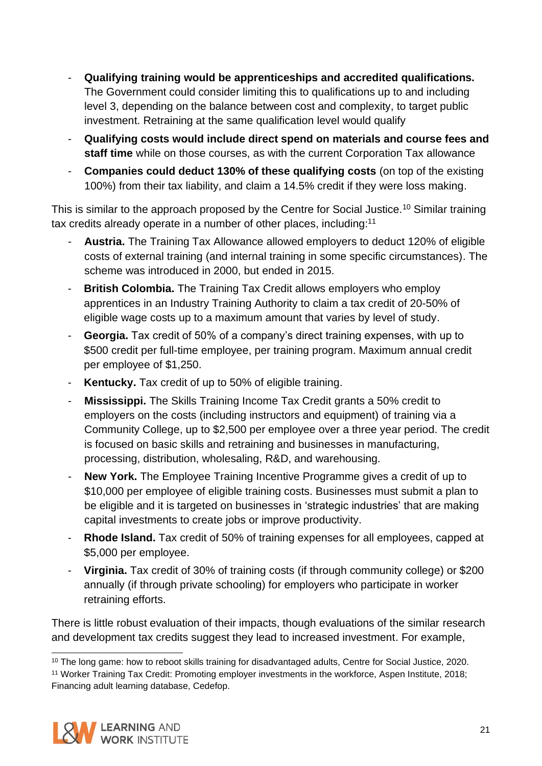- **Qualifying training would be apprenticeships and accredited qualifications.** The Government could consider limiting this to qualifications up to and including level 3, depending on the balance between cost and complexity, to target public investment. Retraining at the same qualification level would qualify
- **Qualifying costs would include direct spend on materials and course fees and staff time** while on those courses, as with the current Corporation Tax allowance
- **Companies could deduct 130% of these qualifying costs** (on top of the existing 100%) from their tax liability, and claim a 14.5% credit if they were loss making.

This is similar to the approach proposed by the Centre for Social Justice.<sup>10</sup> Similar training tax credits already operate in a number of other places, including:<sup>11</sup>

- Austria. The Training Tax Allowance allowed employers to deduct 120% of eligible costs of external training (and internal training in some specific circumstances). The scheme was introduced in 2000, but ended in 2015.
- **British Colombia.** The Training Tax Credit allows employers who employ apprentices in an Industry Training Authority to claim a tax credit of 20-50% of eligible wage costs up to a maximum amount that varies by level of study.
- **Georgia.** Tax credit of 50% of a company's direct training expenses, with up to \$500 credit per full-time employee, per training program. Maximum annual credit per employee of \$1,250.
- **Kentucky.** Tax credit of up to 50% of eligible training.
- **Mississippi.** The Skills Training Income Tax Credit grants a 50% credit to employers on the costs (including instructors and equipment) of training via a Community College, up to \$2,500 per employee over a three year period. The credit is focused on basic skills and retraining and businesses in manufacturing, processing, distribution, wholesaling, R&D, and warehousing.
- **New York.** The Employee Training Incentive Programme gives a credit of up to \$10,000 per employee of eligible training costs. Businesses must submit a plan to be eligible and it is targeted on businesses in 'strategic industries' that are making capital investments to create jobs or improve productivity.
- **Rhode Island.** Tax credit of 50% of training expenses for all employees, capped at \$5,000 per employee.
- **Virginia.** Tax credit of 30% of training costs (if through community college) or \$200 annually (if through private schooling) for employers who participate in worker retraining efforts.

There is little robust evaluation of their impacts, though evaluations of the similar research and development tax credits suggest they lead to increased investment. For example,

<sup>11</sup> Worker Training Tax Credit: Promoting employer investments in the workforce, Aspen Institute, 2018; Financing adult learning database, Cedefop.



<sup>&</sup>lt;sup>10</sup> The long game: how to reboot skills training for disadvantaged adults, Centre for Social Justice, 2020.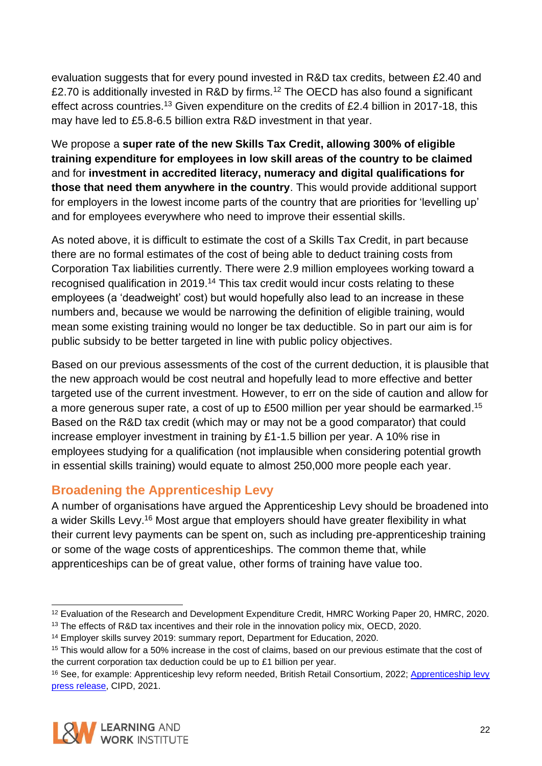evaluation suggests that for every pound invested in R&D tax credits, between £2.40 and £2.70 is additionally invested in R&D by firms.<sup>12</sup> The OECD has also found a significant effect across countries.<sup>13</sup> Given expenditure on the credits of £2.4 billion in 2017-18, this may have led to £5.8-6.5 billion extra R&D investment in that year.

We propose a **super rate of the new Skills Tax Credit, allowing 300% of eligible training expenditure for employees in low skill areas of the country to be claimed** and for **investment in accredited literacy, numeracy and digital qualifications for those that need them anywhere in the country**. This would provide additional support for employers in the lowest income parts of the country that are priorities for 'levelling up' and for employees everywhere who need to improve their essential skills.

As noted above, it is difficult to estimate the cost of a Skills Tax Credit, in part because there are no formal estimates of the cost of being able to deduct training costs from Corporation Tax liabilities currently. There were 2.9 million employees working toward a recognised qualification in 2019.<sup>14</sup> This tax credit would incur costs relating to these employees (a 'deadweight' cost) but would hopefully also lead to an increase in these numbers and, because we would be narrowing the definition of eligible training, would mean some existing training would no longer be tax deductible. So in part our aim is for public subsidy to be better targeted in line with public policy objectives.

Based on our previous assessments of the cost of the current deduction, it is plausible that the new approach would be cost neutral and hopefully lead to more effective and better targeted use of the current investment. However, to err on the side of caution and allow for a more generous super rate, a cost of up to £500 million per year should be earmarked.<sup>15</sup> Based on the R&D tax credit (which may or may not be a good comparator) that could increase employer investment in training by £1-1.5 billion per year. A 10% rise in employees studying for a qualification (not implausible when considering potential growth in essential skills training) would equate to almost 250,000 more people each year.

### <span id="page-21-0"></span>**Broadening the Apprenticeship Levy**

A number of organisations have argued the Apprenticeship Levy should be broadened into a wider Skills Levy.<sup>16</sup> Most argue that employers should have greater flexibility in what their current levy payments can be spent on, such as including pre-apprenticeship training or some of the wage costs of apprenticeships. The common theme that, while apprenticeships can be of great value, other forms of training have value too.

<sup>&</sup>lt;sup>16</sup> See, for example: [Apprenticeship levy](https://www.cipd.co.uk/about/media/press/010321apprenticeship-levy-reform-budget) reform needed, British Retail Consortium, 2022; Apprenticeship levy [press release,](https://www.cipd.co.uk/about/media/press/010321apprenticeship-levy-reform-budget) CIPD, 2021.



<sup>12</sup> Evaluation of the Research and Development Expenditure Credit, HMRC Working Paper 20, HMRC, 2020.

<sup>&</sup>lt;sup>13</sup> The effects of R&D tax incentives and their role in the innovation policy mix, OECD, 2020.

<sup>14</sup> Employer skills survey 2019: summary report, Department for Education, 2020.

<sup>15</sup> This would allow for a 50% increase in the cost of claims, based on our previous estimate that the cost of the current corporation tax deduction could be up to £1 billion per year.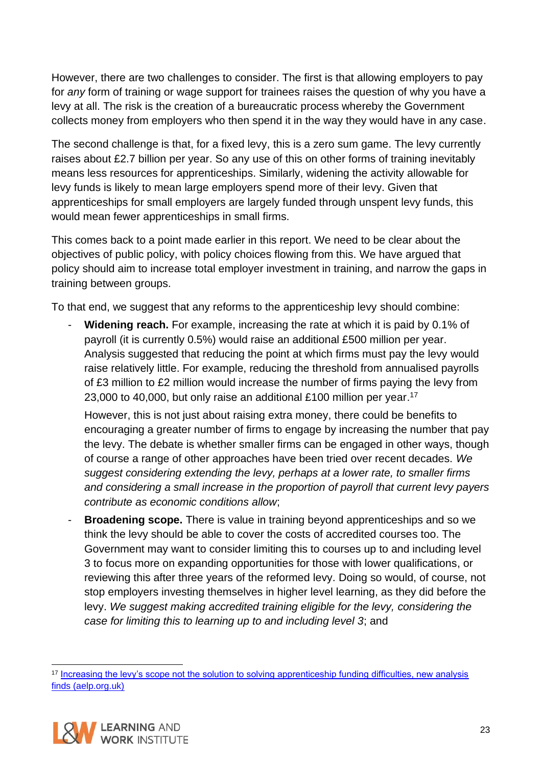However, there are two challenges to consider. The first is that allowing employers to pay for *any* form of training or wage support for trainees raises the question of why you have a levy at all. The risk is the creation of a bureaucratic process whereby the Government collects money from employers who then spend it in the way they would have in any case.

The second challenge is that, for a fixed levy, this is a zero sum game. The levy currently raises about £2.7 billion per year. So any use of this on other forms of training inevitably means less resources for apprenticeships. Similarly, widening the activity allowable for levy funds is likely to mean large employers spend more of their levy. Given that apprenticeships for small employers are largely funded through unspent levy funds, this would mean fewer apprenticeships in small firms.

This comes back to a point made earlier in this report. We need to be clear about the objectives of public policy, with policy choices flowing from this. We have argued that policy should aim to increase total employer investment in training, and narrow the gaps in training between groups.

To that end, we suggest that any reforms to the apprenticeship levy should combine:

**Widening reach.** For example, increasing the rate at which it is paid by 0.1% of payroll (it is currently 0.5%) would raise an additional £500 million per year. Analysis suggested that reducing the point at which firms must pay the levy would raise relatively little. For example, reducing the threshold from annualised payrolls of £3 million to £2 million would increase the number of firms paying the levy from 23,000 to 40,000, but only raise an additional £100 million per year.<sup>17</sup>

However, this is not just about raising extra money, there could be benefits to encouraging a greater number of firms to engage by increasing the number that pay the levy. The debate is whether smaller firms can be engaged in other ways, though of course a range of other approaches have been tried over recent decades. *We suggest considering extending the levy, perhaps at a lower rate, to smaller firms and considering a small increase in the proportion of payroll that current levy payers contribute as economic conditions allow*;

**Broadening scope.** There is value in training beyond apprenticeships and so we think the levy should be able to cover the costs of accredited courses too. The Government may want to consider limiting this to courses up to and including level 3 to focus more on expanding opportunities for those with lower qualifications, or reviewing this after three years of the reformed levy. Doing so would, of course, not stop employers investing themselves in higher level learning, as they did before the levy. *We suggest making accredited training eligible for the levy, considering the case for limiting this to learning up to and including level 3*; and

<sup>&</sup>lt;sup>17</sup> Increasing the levy's scope not the solution to solving apprenticeship funding difficulties, new analysis [finds \(aelp.org.uk\)](https://www.aelp.org.uk/news/news/press-releases/increasing-the-levy-s-scope-not-the-solution-to-solving-apprenticeship-funding-difficulties-new-analysis-finds/)

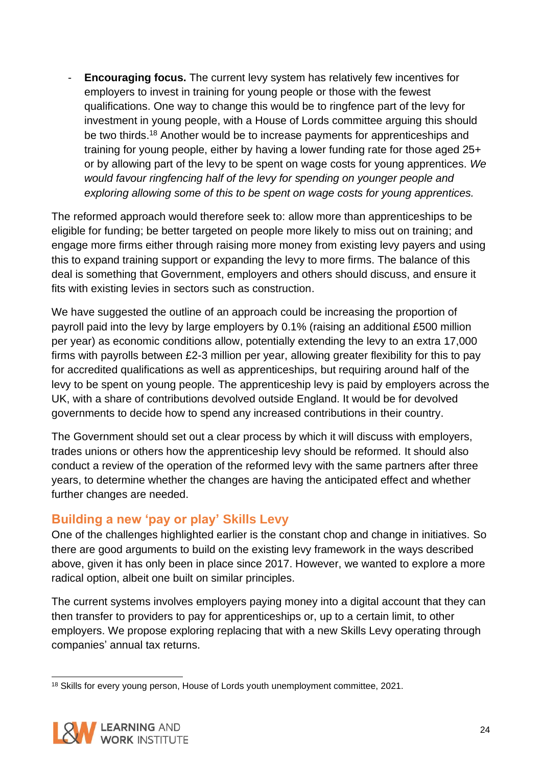- **Encouraging focus.** The current levy system has relatively few incentives for employers to invest in training for young people or those with the fewest qualifications. One way to change this would be to ringfence part of the levy for investment in young people, with a House of Lords committee arguing this should be two thirds.<sup>18</sup> Another would be to increase payments for apprenticeships and training for young people, either by having a lower funding rate for those aged 25+ or by allowing part of the levy to be spent on wage costs for young apprentices. *We would favour ringfencing half of the levy for spending on younger people and exploring allowing some of this to be spent on wage costs for young apprentices.*

The reformed approach would therefore seek to: allow more than apprenticeships to be eligible for funding; be better targeted on people more likely to miss out on training; and engage more firms either through raising more money from existing levy payers and using this to expand training support or expanding the levy to more firms. The balance of this deal is something that Government, employers and others should discuss, and ensure it fits with existing levies in sectors such as construction.

We have suggested the outline of an approach could be increasing the proportion of payroll paid into the levy by large employers by 0.1% (raising an additional £500 million per year) as economic conditions allow, potentially extending the levy to an extra 17,000 firms with payrolls between £2-3 million per year, allowing greater flexibility for this to pay for accredited qualifications as well as apprenticeships, but requiring around half of the levy to be spent on young people. The apprenticeship levy is paid by employers across the UK, with a share of contributions devolved outside England. It would be for devolved governments to decide how to spend any increased contributions in their country.

The Government should set out a clear process by which it will discuss with employers, trades unions or others how the apprenticeship levy should be reformed. It should also conduct a review of the operation of the reformed levy with the same partners after three years, to determine whether the changes are having the anticipated effect and whether further changes are needed.

### <span id="page-23-0"></span>**Building a new 'pay or play' Skills Levy**

One of the challenges highlighted earlier is the constant chop and change in initiatives. So there are good arguments to build on the existing levy framework in the ways described above, given it has only been in place since 2017. However, we wanted to explore a more radical option, albeit one built on similar principles.

The current systems involves employers paying money into a digital account that they can then transfer to providers to pay for apprenticeships or, up to a certain limit, to other employers. We propose exploring replacing that with a new Skills Levy operating through companies' annual tax returns.

<sup>&</sup>lt;sup>18</sup> Skills for every young person, House of Lords youth unemployment committee, 2021.

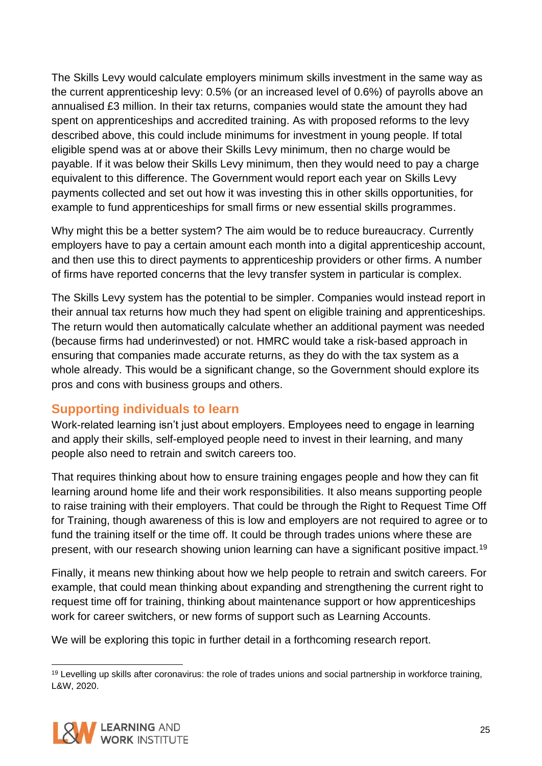The Skills Levy would calculate employers minimum skills investment in the same way as the current apprenticeship levy: 0.5% (or an increased level of 0.6%) of payrolls above an annualised £3 million. In their tax returns, companies would state the amount they had spent on apprenticeships and accredited training. As with proposed reforms to the levy described above, this could include minimums for investment in young people. If total eligible spend was at or above their Skills Levy minimum, then no charge would be payable. If it was below their Skills Levy minimum, then they would need to pay a charge equivalent to this difference. The Government would report each year on Skills Levy payments collected and set out how it was investing this in other skills opportunities, for example to fund apprenticeships for small firms or new essential skills programmes.

Why might this be a better system? The aim would be to reduce bureaucracy. Currently employers have to pay a certain amount each month into a digital apprenticeship account, and then use this to direct payments to apprenticeship providers or other firms. A number of firms have reported concerns that the levy transfer system in particular is complex.

The Skills Levy system has the potential to be simpler. Companies would instead report in their annual tax returns how much they had spent on eligible training and apprenticeships. The return would then automatically calculate whether an additional payment was needed (because firms had underinvested) or not. HMRC would take a risk-based approach in ensuring that companies made accurate returns, as they do with the tax system as a whole already. This would be a significant change, so the Government should explore its pros and cons with business groups and others.

### <span id="page-24-0"></span>**Supporting individuals to learn**

Work-related learning isn't just about employers. Employees need to engage in learning and apply their skills, self-employed people need to invest in their learning, and many people also need to retrain and switch careers too.

That requires thinking about how to ensure training engages people and how they can fit learning around home life and their work responsibilities. It also means supporting people to raise training with their employers. That could be through the Right to Request Time Off for Training, though awareness of this is low and employers are not required to agree or to fund the training itself or the time off. It could be through trades unions where these are present, with our research showing union learning can have a significant positive impact.<sup>19</sup>

Finally, it means new thinking about how we help people to retrain and switch careers. For example, that could mean thinking about expanding and strengthening the current right to request time off for training, thinking about maintenance support or how apprenticeships work for career switchers, or new forms of support such as Learning Accounts.

We will be exploring this topic in further detail in a forthcoming research report.

<sup>&</sup>lt;sup>19</sup> Levelling up skills after coronavirus: the role of trades unions and social partnership in workforce training, L&W, 2020.